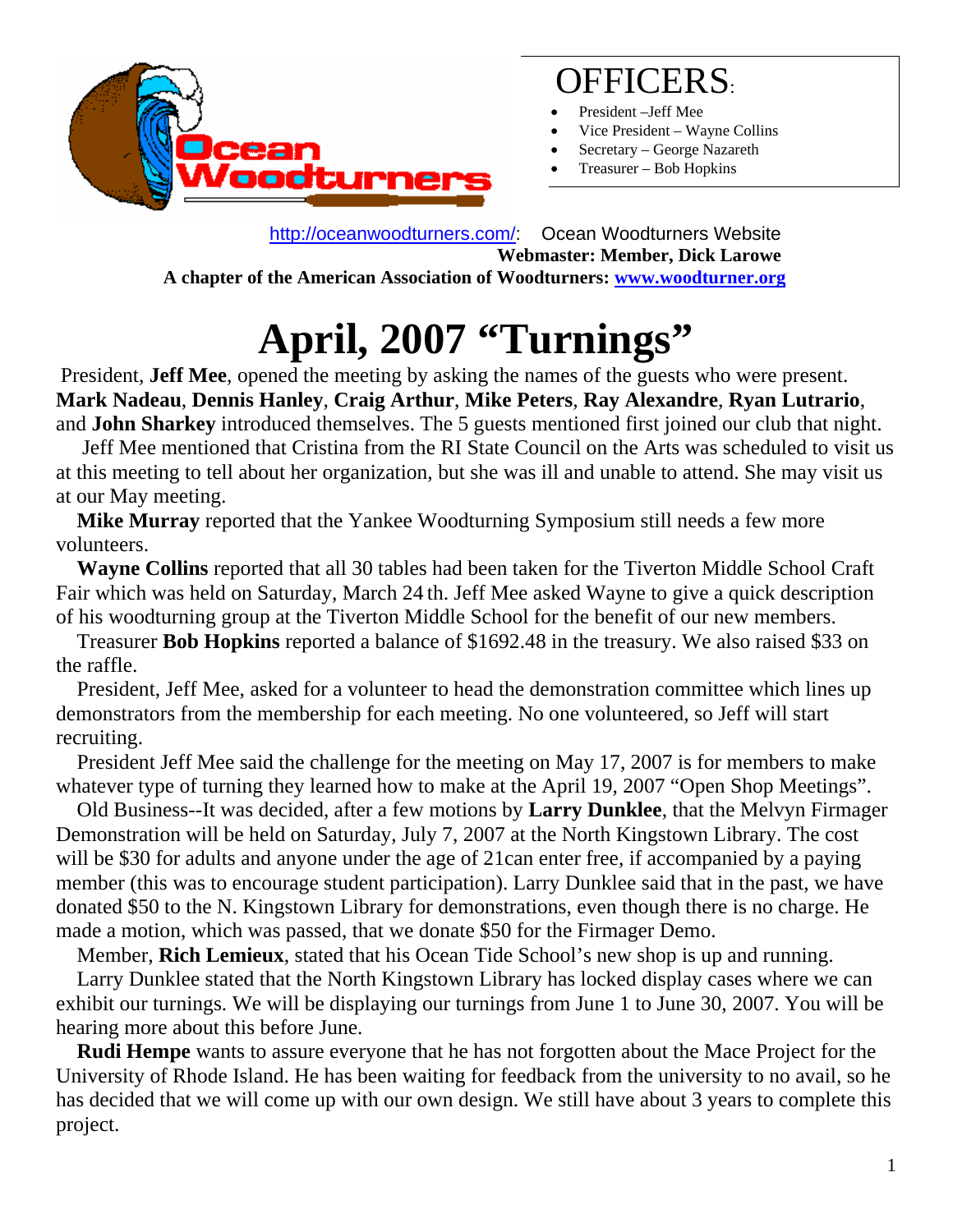

### OFFICERS:

- President -Jeff Mee
- Vice President Wayne Collins
- Secretary George Nazareth
- Treasurer Bob Hopkins

 <http://oceanwoodturners.com/>: Ocean Woodturners Website **Webmaster: Member, Dick Larowe A chapter of the American Association of Woodturners: [www.woodturner.org](http://www.woodturner.org/)** 

# **April, 2007 "Turnings"**

President, **Jeff Mee**, opened the meeting by asking the names of the guests who were present. **Mark Nadeau**, **Dennis Hanley**, **Craig Arthur**, **Mike Peters**, **Ray Alexandre**, **Ryan Lutrario**, and **John Sharkey** introduced themselves. The 5 guests mentioned first joined our club that night.

 Jeff Mee mentioned that Cristina from the RI State Council on the Arts was scheduled to visit us at this meeting to tell about her organization, but she was ill and unable to attend. She may visit us at our May meeting.

 **Mike Murray** reported that the Yankee Woodturning Symposium still needs a few more volunteers.

 **Wayne Collins** reported that all 30 tables had been taken for the Tiverton Middle School Craft Fair which was held on Saturday, March 24 th. Jeff Mee asked Wayne to give a quick description of his woodturning group at the Tiverton Middle School for the benefit of our new members.

 Treasurer **Bob Hopkins** reported a balance of \$1692.48 in the treasury. We also raised \$33 on the raffle.

 President, Jeff Mee, asked for a volunteer to head the demonstration committee which lines up demonstrators from the membership for each meeting. No one volunteered, so Jeff will start recruiting.

 President Jeff Mee said the challenge for the meeting on May 17, 2007 is for members to make whatever type of turning they learned how to make at the April 19, 2007 "Open Shop Meetings".

 Old Business--It was decided, after a few motions by **Larry Dunklee**, that the Melvyn Firmager Demonstration will be held on Saturday, July 7, 2007 at the North Kingstown Library. The cost will be \$30 for adults and anyone under the age of 21can enter free, if accompanied by a paying member (this was to encourage student participation). Larry Dunklee said that in the past, we have donated \$50 to the N. Kingstown Library for demonstrations, even though there is no charge. He made a motion, which was passed, that we donate \$50 for the Firmager Demo.

Member, **Rich Lemieux**, stated that his Ocean Tide School's new shop is up and running.

 Larry Dunklee stated that the North Kingstown Library has locked display cases where we can exhibit our turnings. We will be displaying our turnings from June 1 to June 30, 2007. You will be hearing more about this before June.

 **Rudi Hempe** wants to assure everyone that he has not forgotten about the Mace Project for the University of Rhode Island. He has been waiting for feedback from the university to no avail, so he has decided that we will come up with our own design. We still have about 3 years to complete this project.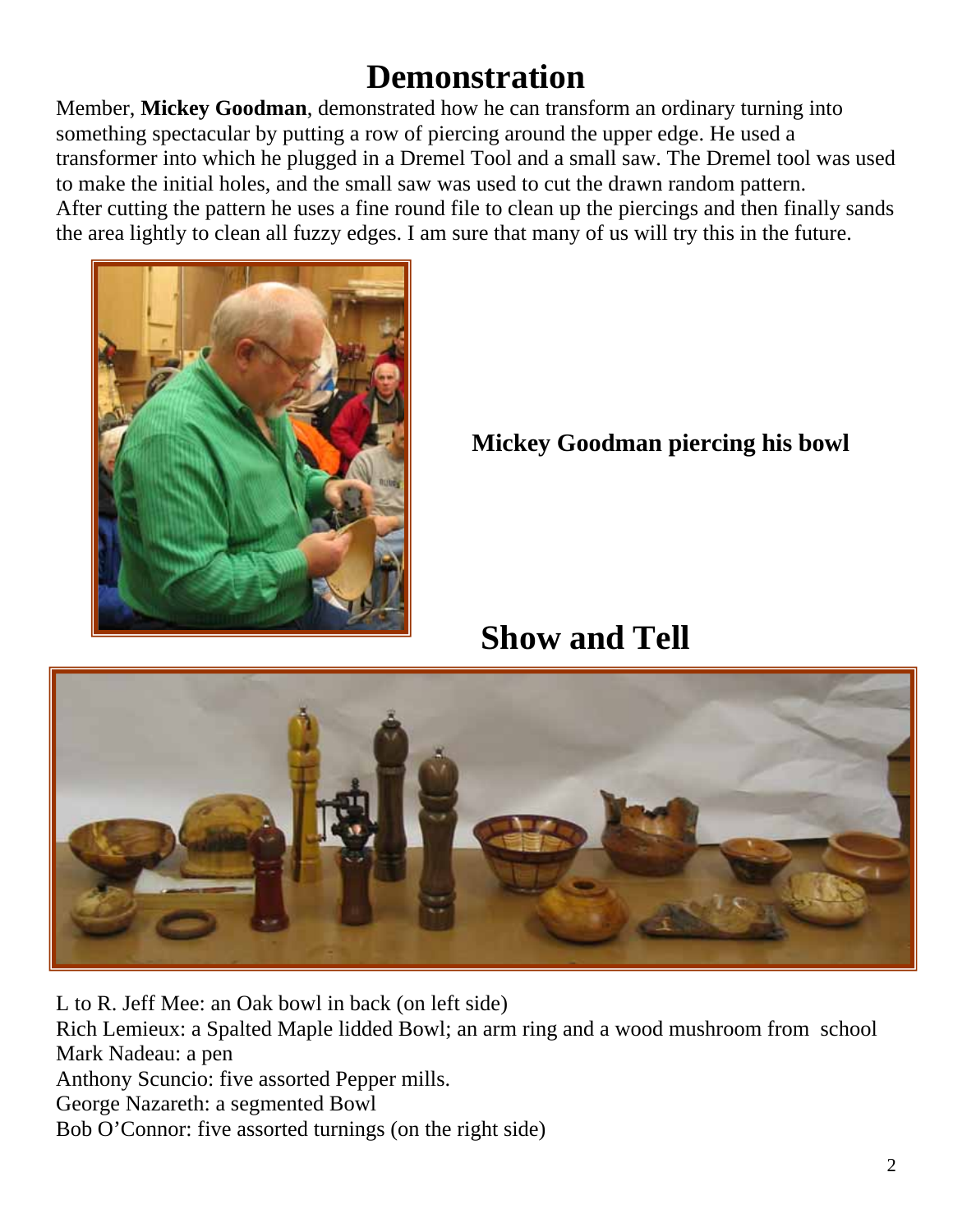### **Demonstration**

Member, **Mickey Goodman**, demonstrated how he can transform an ordinary turning into something spectacular by putting a row of piercing around the upper edge. He used a transformer into which he plugged in a Dremel Tool and a small saw. The Dremel tool was used to make the initial holes, and the small saw was used to cut the drawn random pattern. After cutting the pattern he uses a fine round file to clean up the piercings and then finally sands the area lightly to clean all fuzzy edges. I am sure that many of us will try this in the future.



**Mickey Goodman piercing his bowl** 

**Show and Tell**



L to R. Jeff Mee: an Oak bowl in back (on left side) Rich Lemieux: a Spalted Maple lidded Bowl; an arm ring and a wood mushroom from school Mark Nadeau: a pen Anthony Scuncio: five assorted Pepper mills. George Nazareth: a segmented Bowl Bob O'Connor: five assorted turnings (on the right side)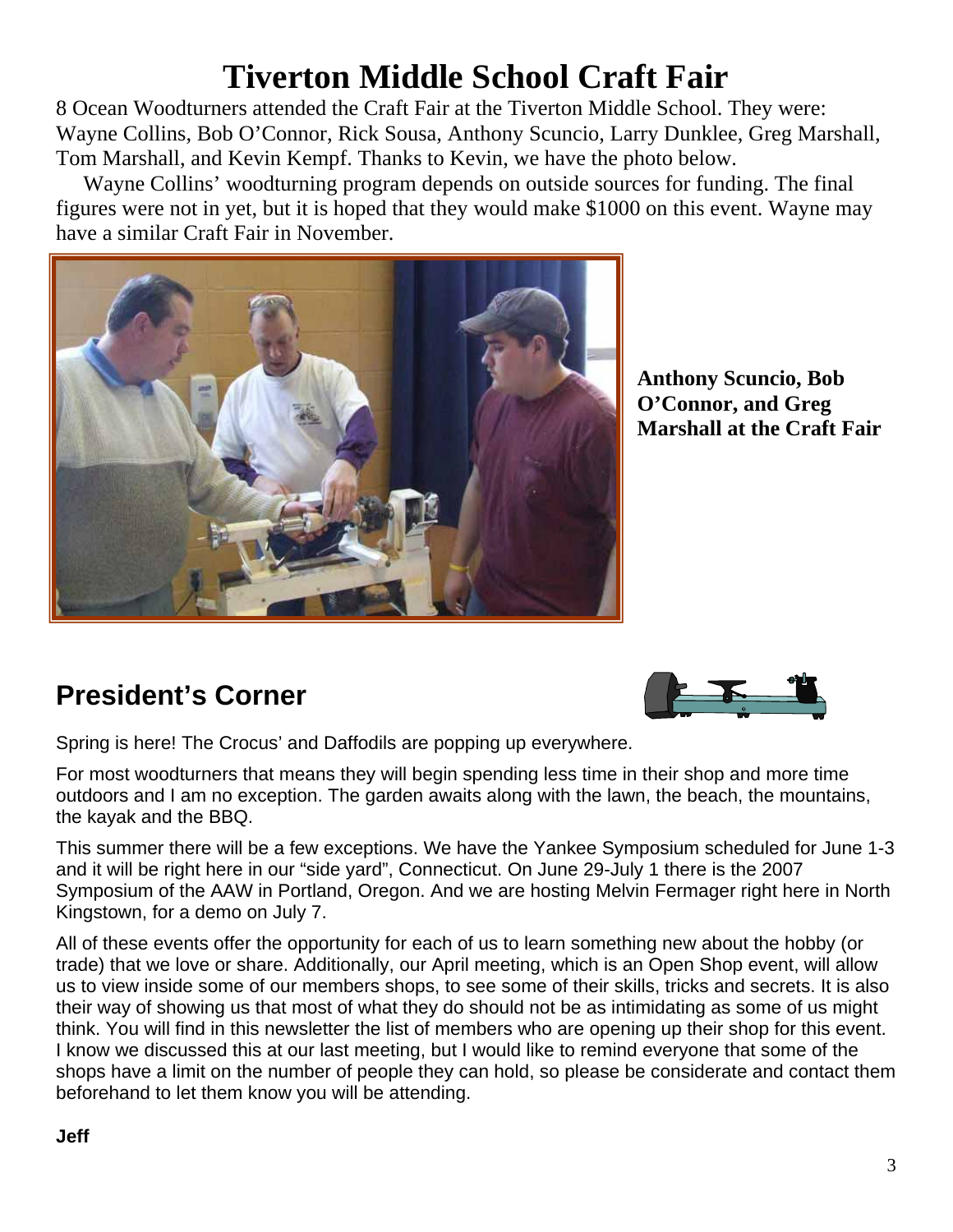### **Tiverton Middle School Craft Fair**

8 Ocean Woodturners attended the Craft Fair at the Tiverton Middle School. They were: Wayne Collins, Bob O'Connor, Rick Sousa, Anthony Scuncio, Larry Dunklee, Greg Marshall, Tom Marshall, and Kevin Kempf. Thanks to Kevin, we have the photo below.

 Wayne Collins' woodturning program depends on outside sources for funding. The final figures were not in yet, but it is hoped that they would make \$1000 on this event. Wayne may have a similar Craft Fair in November.



**Anthony Scuncio, Bob O'Connor, and Greg Marshall at the Craft Fair**

#### **President's Corner**

Spring is here! The Crocus' and Daffodils are popping up everywhere.

For most woodturners that means they will begin spending less time in their shop and more time outdoors and I am no exception. The garden awaits along with the lawn, the beach, the mountains, the kayak and the BBQ.

This summer there will be a few exceptions. We have the Yankee Symposium scheduled for June 1-3 and it will be right here in our "side yard", Connecticut. On June 29-July 1 there is the 2007 Symposium of the AAW in Portland, Oregon. And we are hosting Melvin Fermager right here in North Kingstown, for a demo on July 7.

All of these events offer the opportunity for each of us to learn something new about the hobby (or trade) that we love or share. Additionally, our April meeting, which is an Open Shop event, will allow us to view inside some of our members shops, to see some of their skills, tricks and secrets. It is also their way of showing us that most of what they do should not be as intimidating as some of us might think. You will find in this newsletter the list of members who are opening up their shop for this event. I know we discussed this at our last meeting, but I would like to remind everyone that some of the shops have a limit on the number of people they can hold, so please be considerate and contact them beforehand to let them know you will be attending.